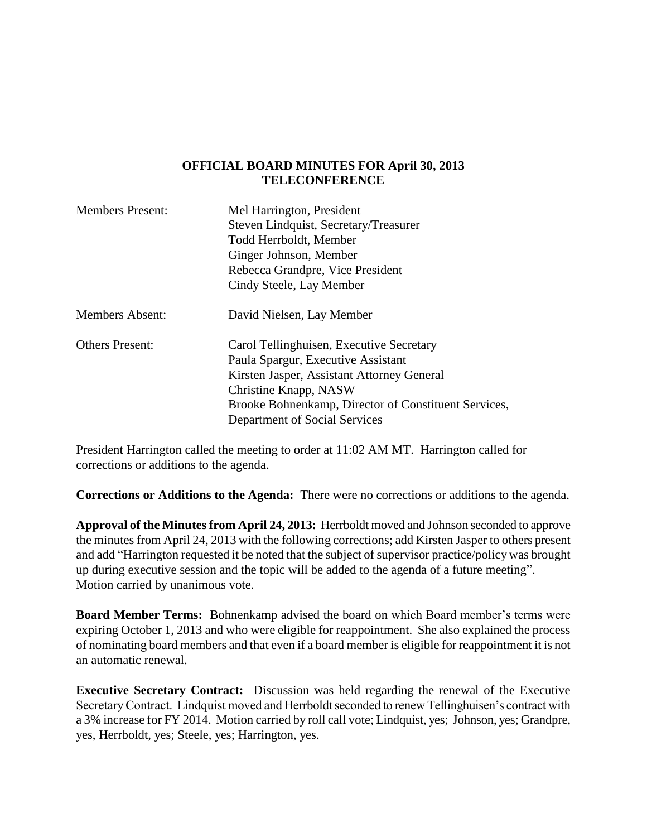## **OFFICIAL BOARD MINUTES FOR April 30, 2013 TELECONFERENCE**

| <b>Members Present:</b> | Mel Harrington, President                            |
|-------------------------|------------------------------------------------------|
|                         | Steven Lindquist, Secretary/Treasurer                |
|                         | Todd Herrboldt, Member                               |
|                         | Ginger Johnson, Member                               |
|                         | Rebecca Grandpre, Vice President                     |
|                         | Cindy Steele, Lay Member                             |
| <b>Members Absent:</b>  | David Nielsen, Lay Member                            |
| <b>Others Present:</b>  | Carol Tellinghuisen, Executive Secretary             |
|                         | Paula Spargur, Executive Assistant                   |
|                         | Kirsten Jasper, Assistant Attorney General           |
|                         | Christine Knapp, NASW                                |
|                         | Brooke Bohnenkamp, Director of Constituent Services, |
|                         | Department of Social Services                        |

President Harrington called the meeting to order at 11:02 AM MT. Harrington called for corrections or additions to the agenda.

**Corrections or Additions to the Agenda:** There were no corrections or additions to the agenda.

**Approval of the Minutes from April 24, 2013:** Herrboldt moved and Johnson seconded to approve the minutes from April 24, 2013 with the following corrections; add Kirsten Jasper to others present and add "Harrington requested it be noted that the subject of supervisor practice/policy was brought up during executive session and the topic will be added to the agenda of a future meeting". Motion carried by unanimous vote.

**Board Member Terms:** Bohnenkamp advised the board on which Board member's terms were expiring October 1, 2013 and who were eligible for reappointment. She also explained the process of nominating board members and that even if a board member is eligible for reappointment it is not an automatic renewal.

**Executive Secretary Contract:** Discussion was held regarding the renewal of the Executive Secretary Contract. Lindquist moved and Herrboldt seconded to renew Tellinghuisen's contract with a 3% increase for FY 2014. Motion carried by roll call vote; Lindquist, yes; Johnson, yes; Grandpre, yes, Herrboldt, yes; Steele, yes; Harrington, yes.